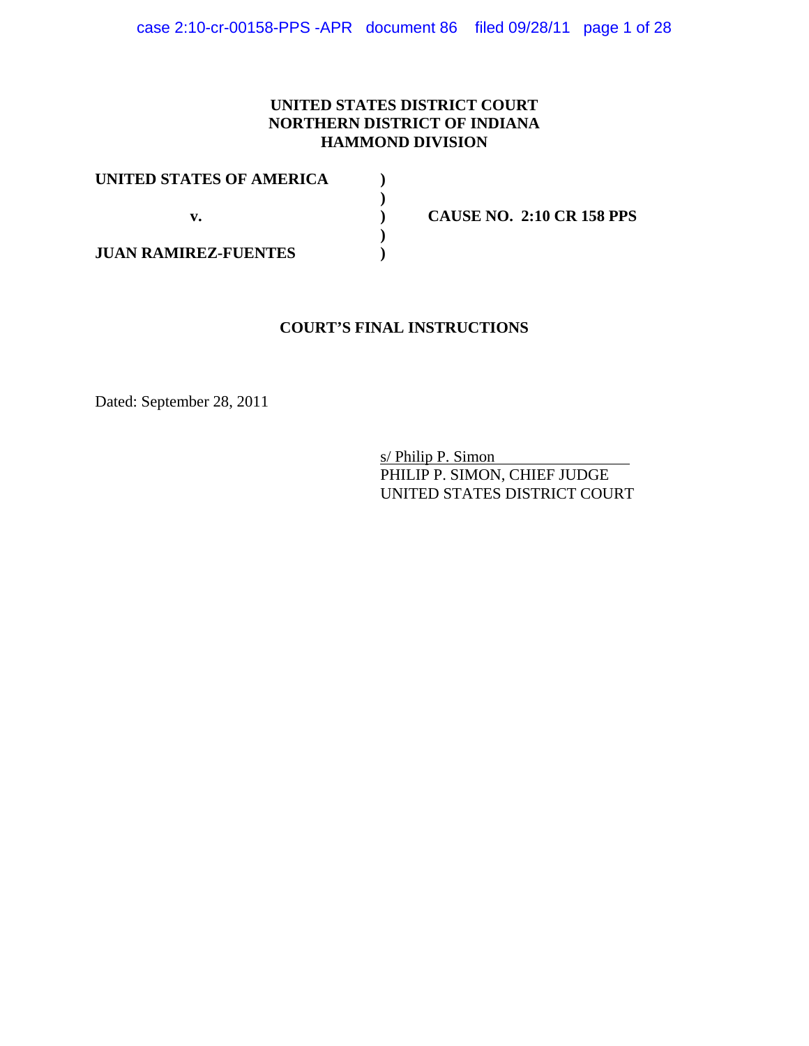## **UNITED STATES DISTRICT COURT NORTHERN DISTRICT OF INDIANA HAMMOND DIVISION**

| UNITED STATES OF AMERICA    |                                  |
|-----------------------------|----------------------------------|
|                             |                                  |
|                             | <b>CAUSE NO. 2:10 CR 158 PPS</b> |
|                             |                                  |
| <b>JUAN RAMIREZ-FUENTES</b> |                                  |

### **COURT'S FINAL INSTRUCTIONS**

Dated: September 28, 2011

s/ Philip P. Simon PHILIP P. SIMON, CHIEF JUDGE UNITED STATES DISTRICT COURT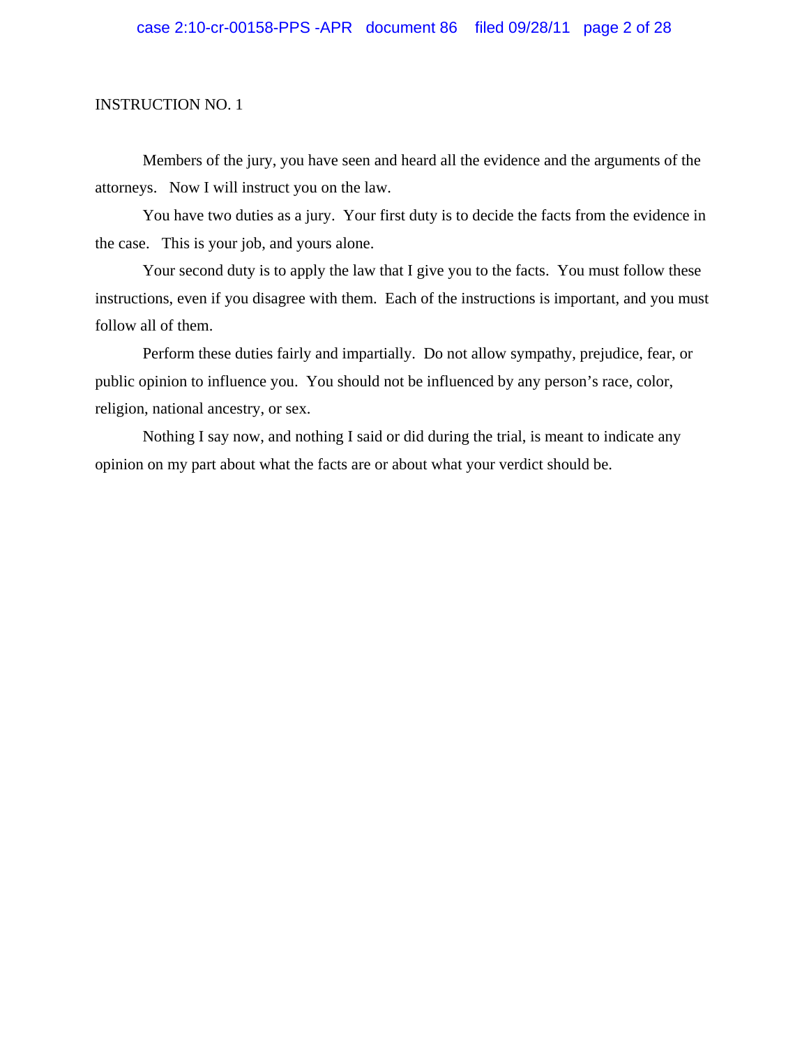Members of the jury, you have seen and heard all the evidence and the arguments of the attorneys. Now I will instruct you on the law.

You have two duties as a jury. Your first duty is to decide the facts from the evidence in the case. This is your job, and yours alone.

Your second duty is to apply the law that I give you to the facts. You must follow these instructions, even if you disagree with them. Each of the instructions is important, and you must follow all of them.

Perform these duties fairly and impartially. Do not allow sympathy, prejudice, fear, or public opinion to influence you. You should not be influenced by any person's race, color, religion, national ancestry, or sex.

Nothing I say now, and nothing I said or did during the trial, is meant to indicate any opinion on my part about what the facts are or about what your verdict should be.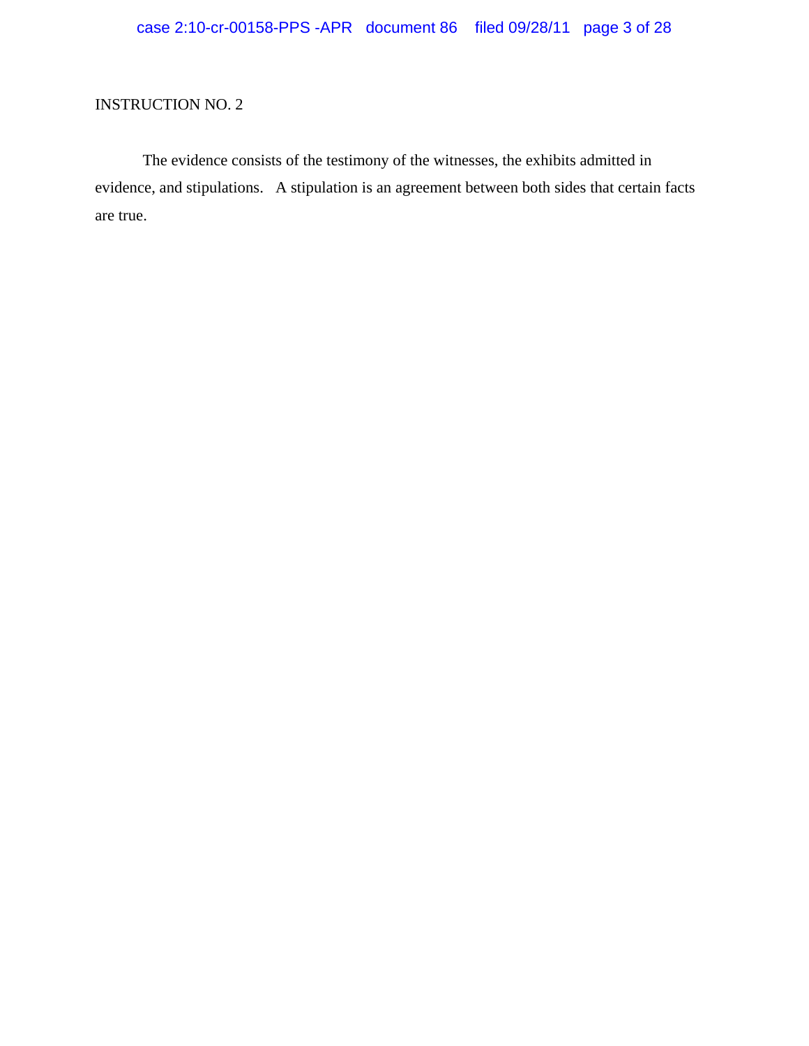The evidence consists of the testimony of the witnesses, the exhibits admitted in evidence, and stipulations. A stipulation is an agreement between both sides that certain facts are true.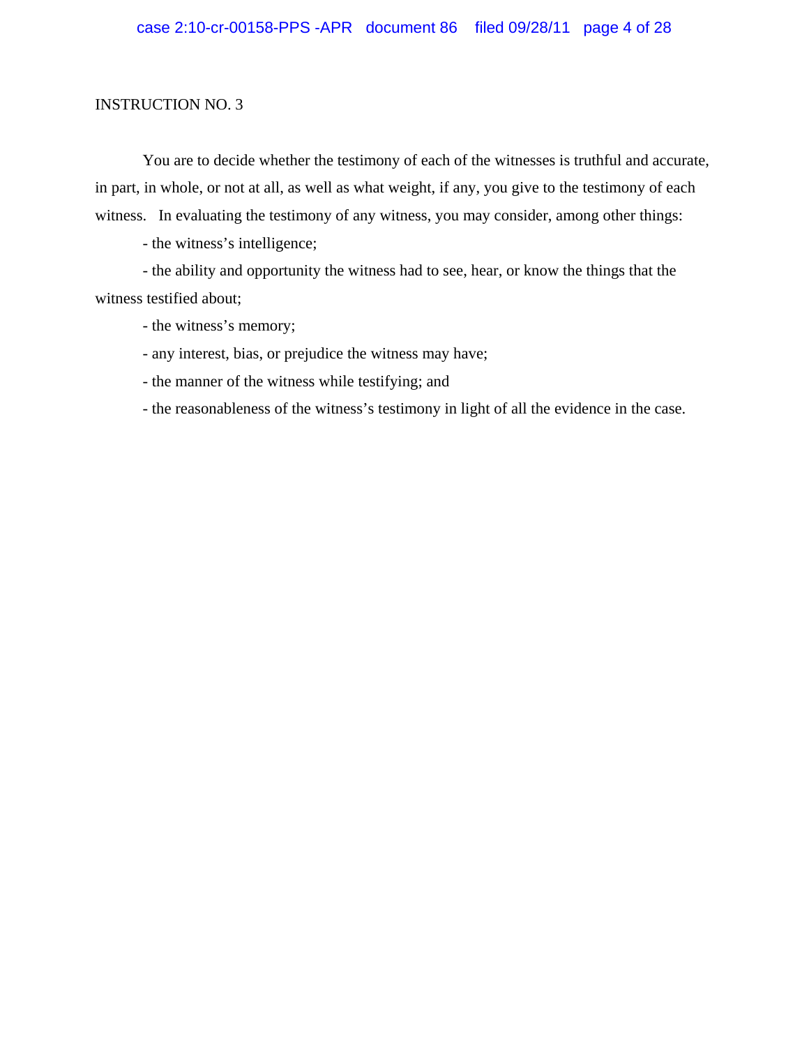You are to decide whether the testimony of each of the witnesses is truthful and accurate, in part, in whole, or not at all, as well as what weight, if any, you give to the testimony of each witness. In evaluating the testimony of any witness, you may consider, among other things:

- the witness's intelligence;

- the ability and opportunity the witness had to see, hear, or know the things that the witness testified about;

- the witness's memory;

- any interest, bias, or prejudice the witness may have;
- the manner of the witness while testifying; and
- the reasonableness of the witness's testimony in light of all the evidence in the case.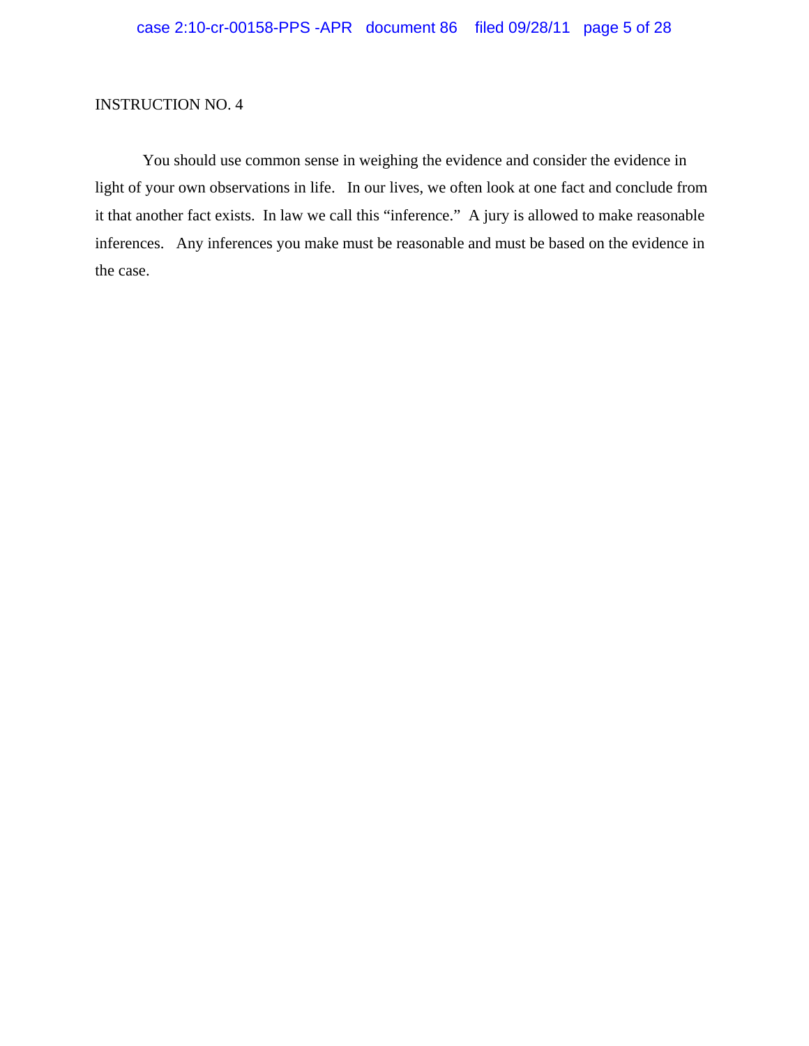You should use common sense in weighing the evidence and consider the evidence in light of your own observations in life. In our lives, we often look at one fact and conclude from it that another fact exists. In law we call this "inference." A jury is allowed to make reasonable inferences. Any inferences you make must be reasonable and must be based on the evidence in the case.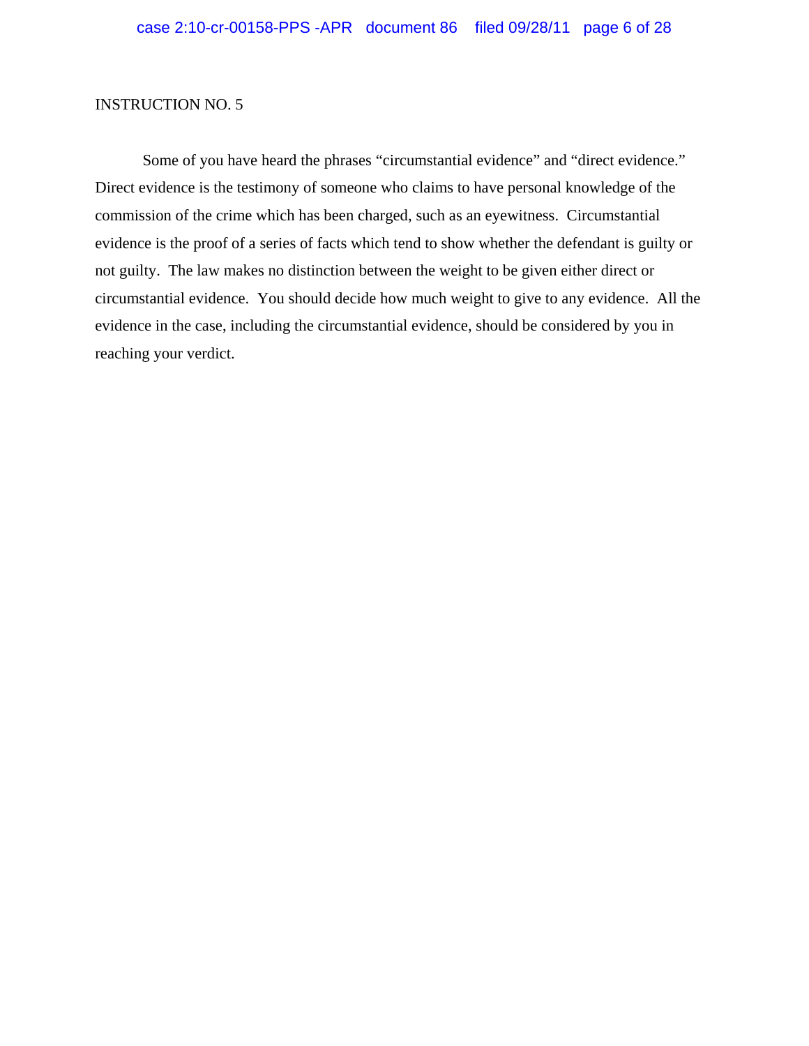Some of you have heard the phrases "circumstantial evidence" and "direct evidence." Direct evidence is the testimony of someone who claims to have personal knowledge of the commission of the crime which has been charged, such as an eyewitness. Circumstantial evidence is the proof of a series of facts which tend to show whether the defendant is guilty or not guilty. The law makes no distinction between the weight to be given either direct or circumstantial evidence. You should decide how much weight to give to any evidence. All the evidence in the case, including the circumstantial evidence, should be considered by you in reaching your verdict.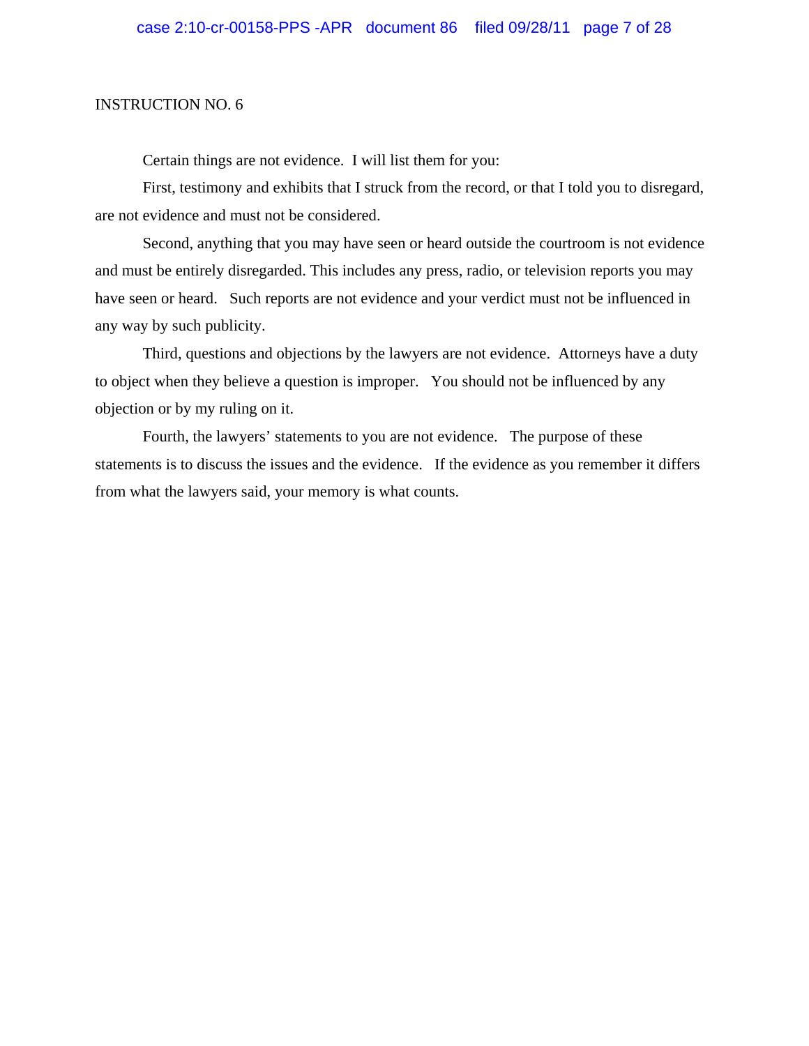Certain things are not evidence. I will list them for you:

First, testimony and exhibits that I struck from the record, or that I told you to disregard, are not evidence and must not be considered.

Second, anything that you may have seen or heard outside the courtroom is not evidence and must be entirely disregarded. This includes any press, radio, or television reports you may have seen or heard. Such reports are not evidence and your verdict must not be influenced in any way by such publicity.

Third, questions and objections by the lawyers are not evidence. Attorneys have a duty to object when they believe a question is improper. You should not be influenced by any objection or by my ruling on it.

Fourth, the lawyers' statements to you are not evidence. The purpose of these statements is to discuss the issues and the evidence. If the evidence as you remember it differs from what the lawyers said, your memory is what counts.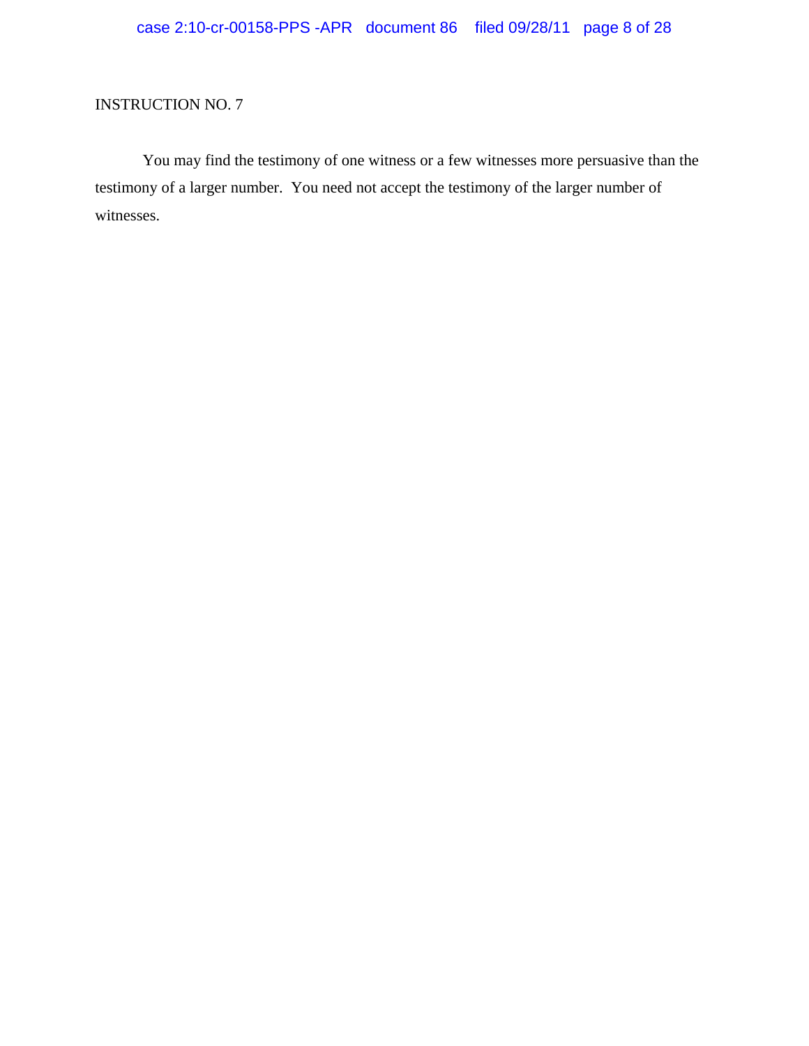You may find the testimony of one witness or a few witnesses more persuasive than the testimony of a larger number. You need not accept the testimony of the larger number of witnesses.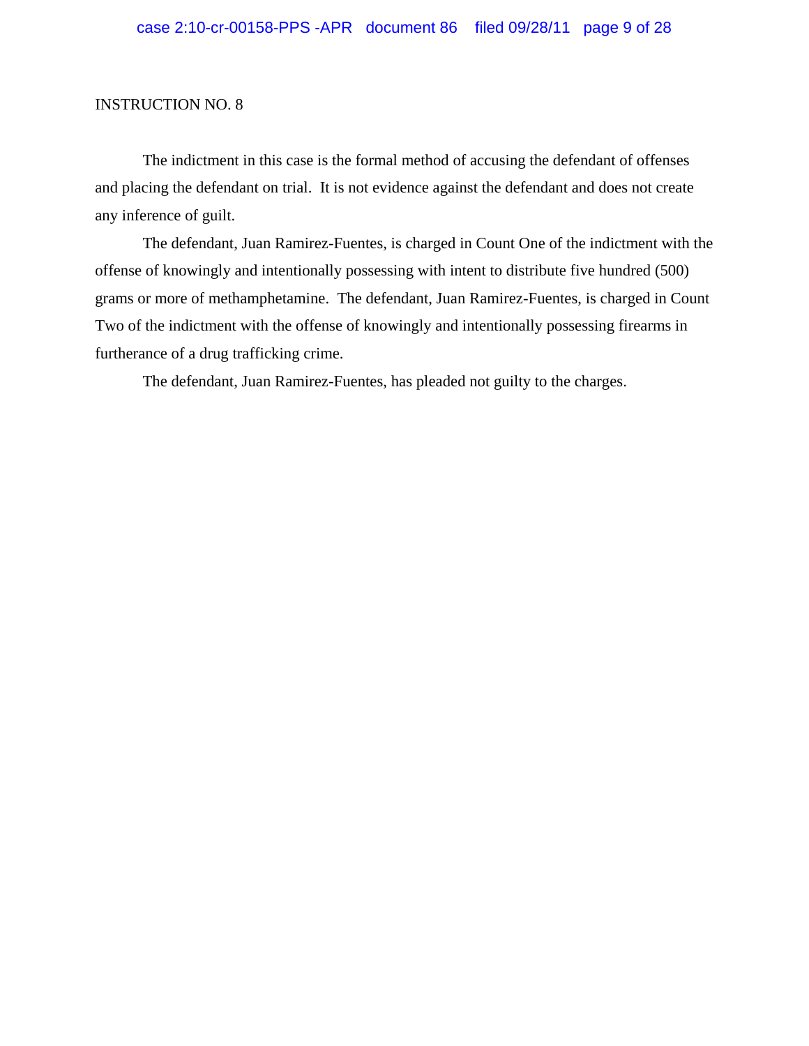The indictment in this case is the formal method of accusing the defendant of offenses and placing the defendant on trial. It is not evidence against the defendant and does not create any inference of guilt.

The defendant, Juan Ramirez-Fuentes, is charged in Count One of the indictment with the offense of knowingly and intentionally possessing with intent to distribute five hundred (500) grams or more of methamphetamine. The defendant, Juan Ramirez-Fuentes, is charged in Count Two of the indictment with the offense of knowingly and intentionally possessing firearms in furtherance of a drug trafficking crime.

The defendant, Juan Ramirez-Fuentes, has pleaded not guilty to the charges.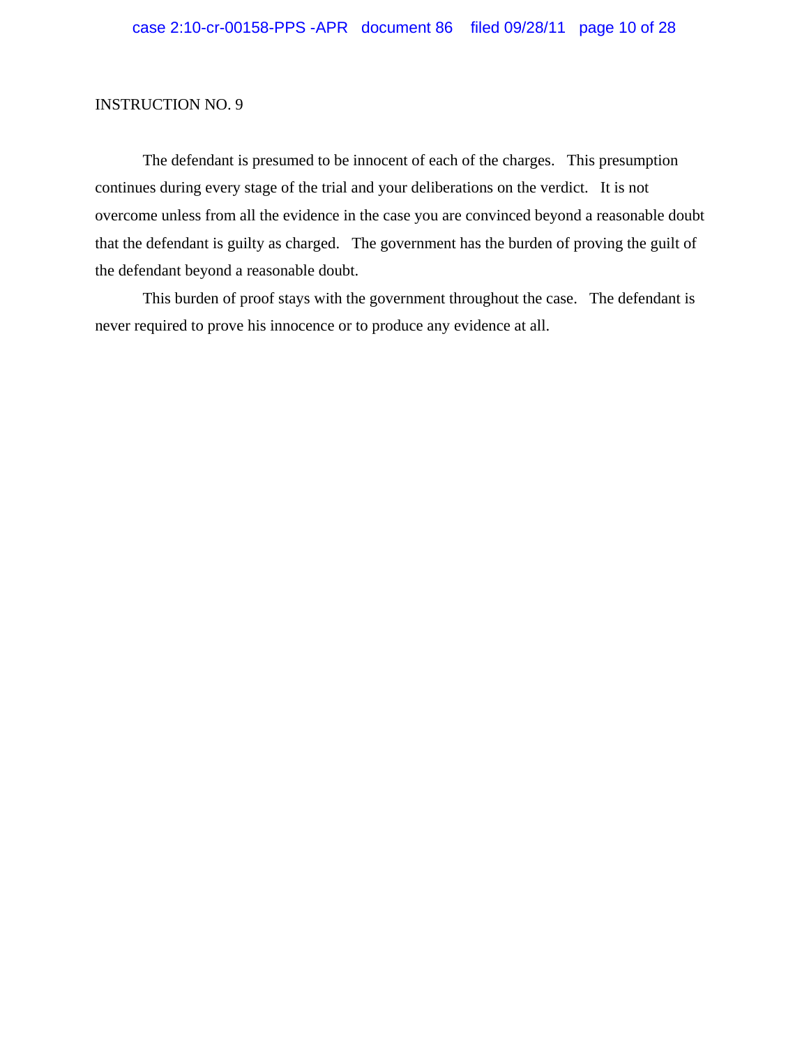The defendant is presumed to be innocent of each of the charges. This presumption continues during every stage of the trial and your deliberations on the verdict. It is not overcome unless from all the evidence in the case you are convinced beyond a reasonable doubt that the defendant is guilty as charged. The government has the burden of proving the guilt of the defendant beyond a reasonable doubt.

This burden of proof stays with the government throughout the case. The defendant is never required to prove his innocence or to produce any evidence at all.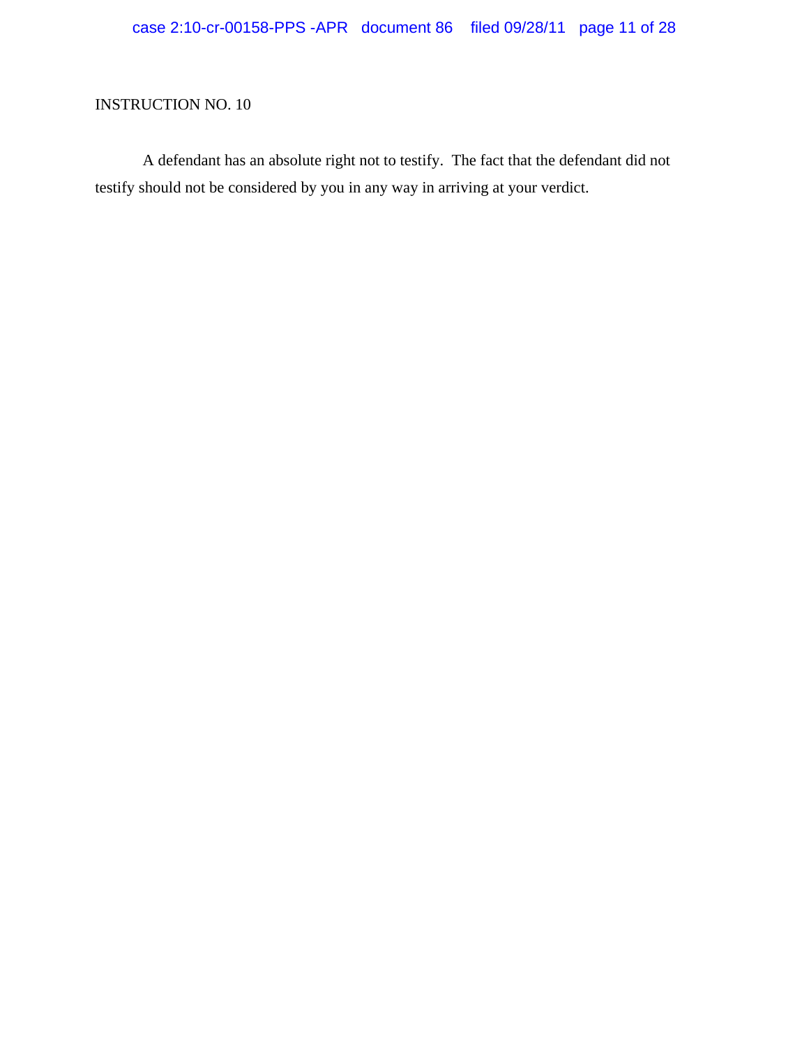A defendant has an absolute right not to testify. The fact that the defendant did not testify should not be considered by you in any way in arriving at your verdict.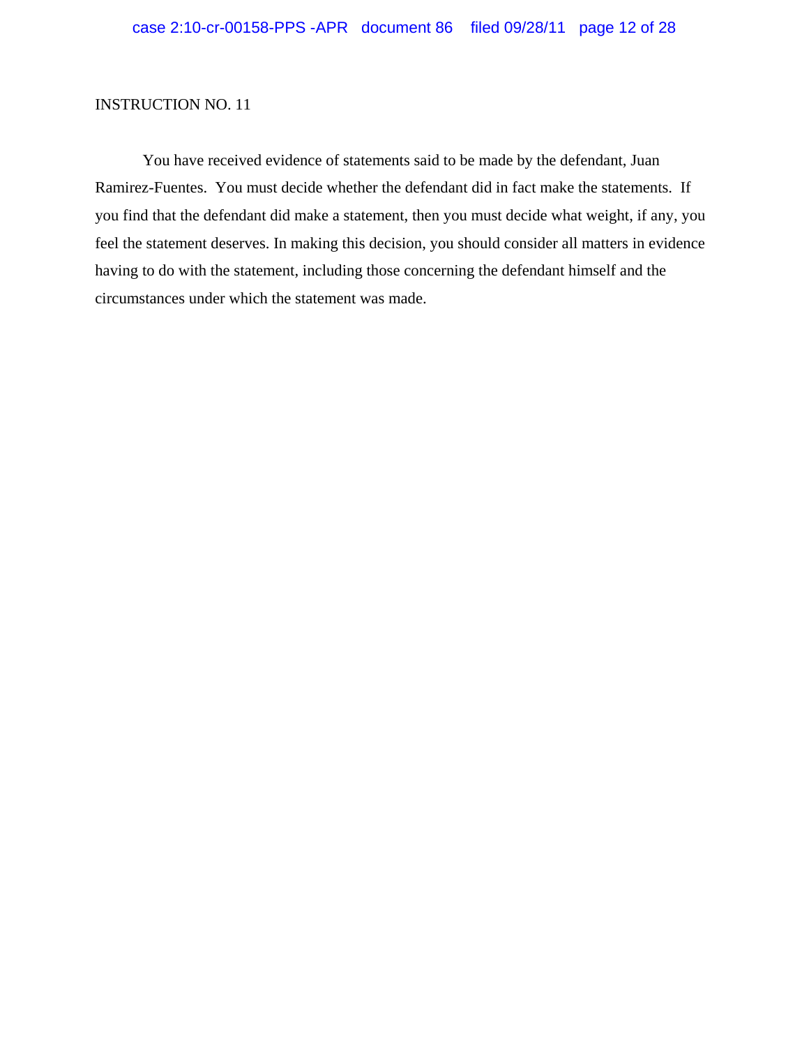You have received evidence of statements said to be made by the defendant, Juan Ramirez-Fuentes. You must decide whether the defendant did in fact make the statements. If you find that the defendant did make a statement, then you must decide what weight, if any, you feel the statement deserves. In making this decision, you should consider all matters in evidence having to do with the statement, including those concerning the defendant himself and the circumstances under which the statement was made.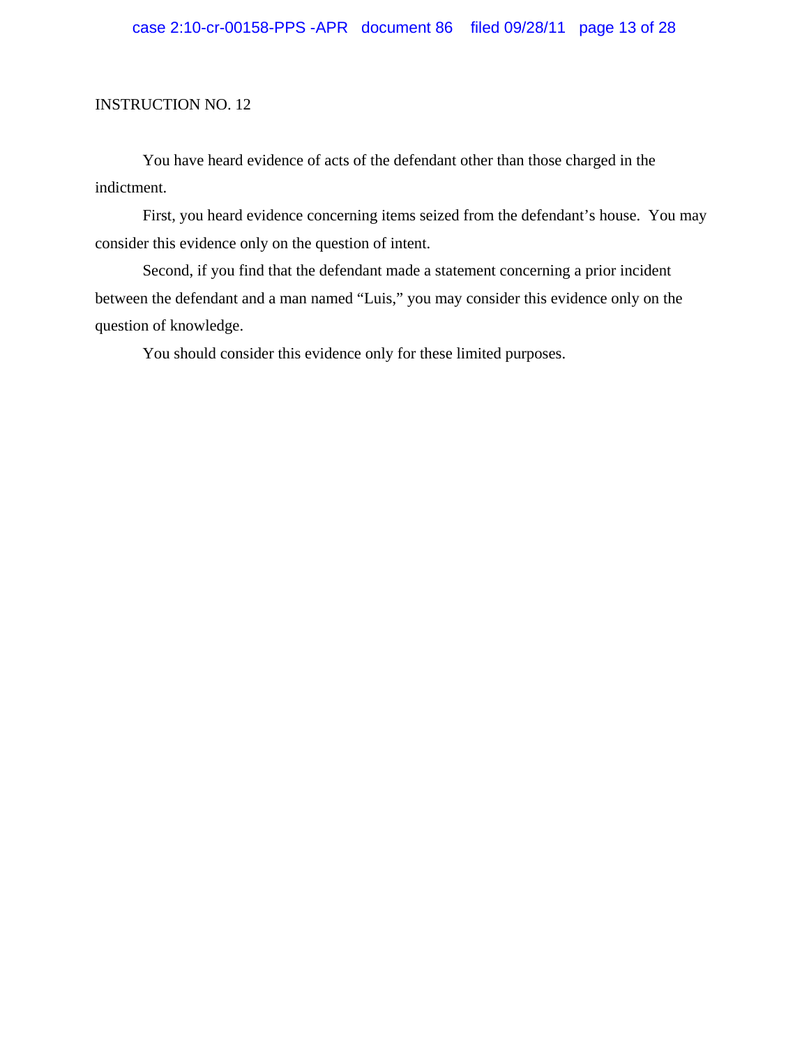You have heard evidence of acts of the defendant other than those charged in the indictment.

First, you heard evidence concerning items seized from the defendant's house. You may consider this evidence only on the question of intent.

Second, if you find that the defendant made a statement concerning a prior incident between the defendant and a man named "Luis," you may consider this evidence only on the question of knowledge.

You should consider this evidence only for these limited purposes.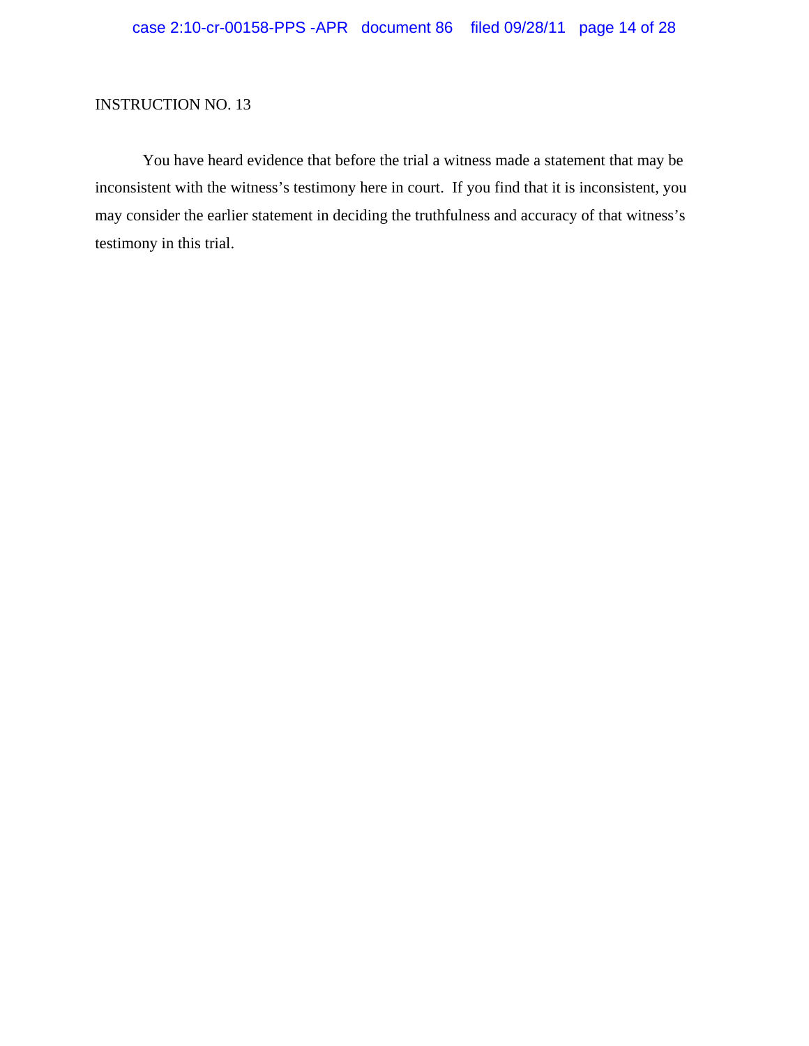You have heard evidence that before the trial a witness made a statement that may be inconsistent with the witness's testimony here in court. If you find that it is inconsistent, you may consider the earlier statement in deciding the truthfulness and accuracy of that witness's testimony in this trial.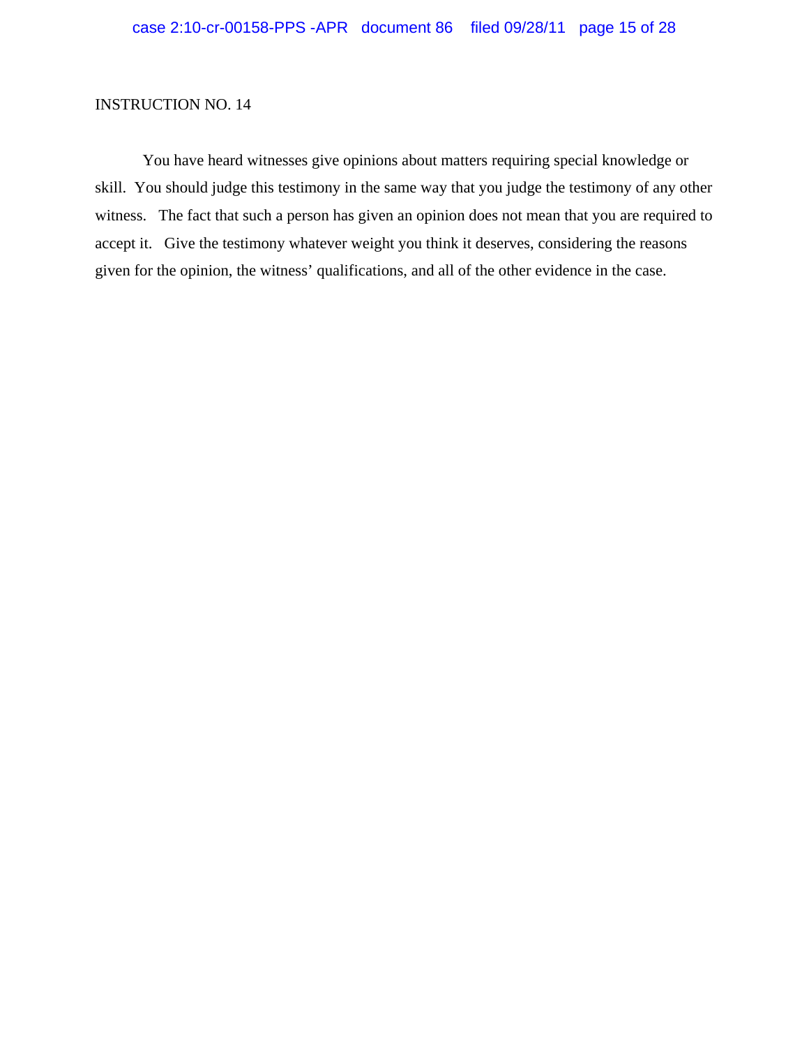You have heard witnesses give opinions about matters requiring special knowledge or skill. You should judge this testimony in the same way that you judge the testimony of any other witness. The fact that such a person has given an opinion does not mean that you are required to accept it. Give the testimony whatever weight you think it deserves, considering the reasons given for the opinion, the witness' qualifications, and all of the other evidence in the case.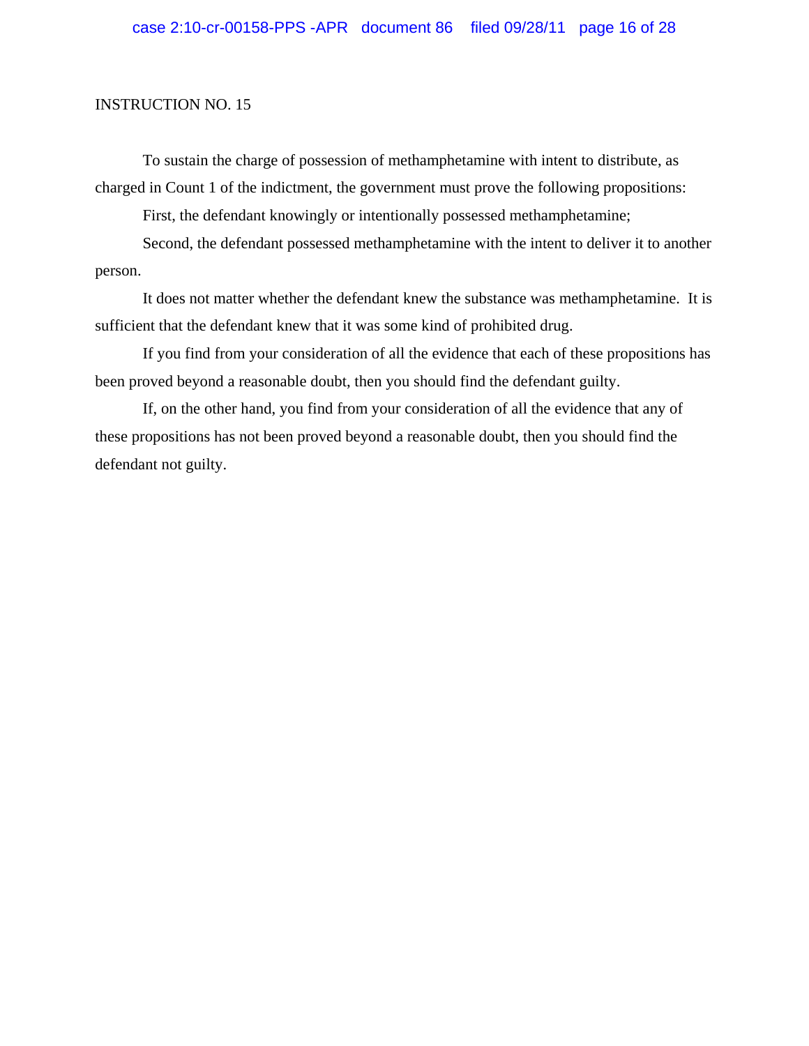To sustain the charge of possession of methamphetamine with intent to distribute, as charged in Count 1 of the indictment, the government must prove the following propositions:

First, the defendant knowingly or intentionally possessed methamphetamine;

Second, the defendant possessed methamphetamine with the intent to deliver it to another person.

It does not matter whether the defendant knew the substance was methamphetamine. It is sufficient that the defendant knew that it was some kind of prohibited drug.

If you find from your consideration of all the evidence that each of these propositions has been proved beyond a reasonable doubt, then you should find the defendant guilty.

If, on the other hand, you find from your consideration of all the evidence that any of these propositions has not been proved beyond a reasonable doubt, then you should find the defendant not guilty.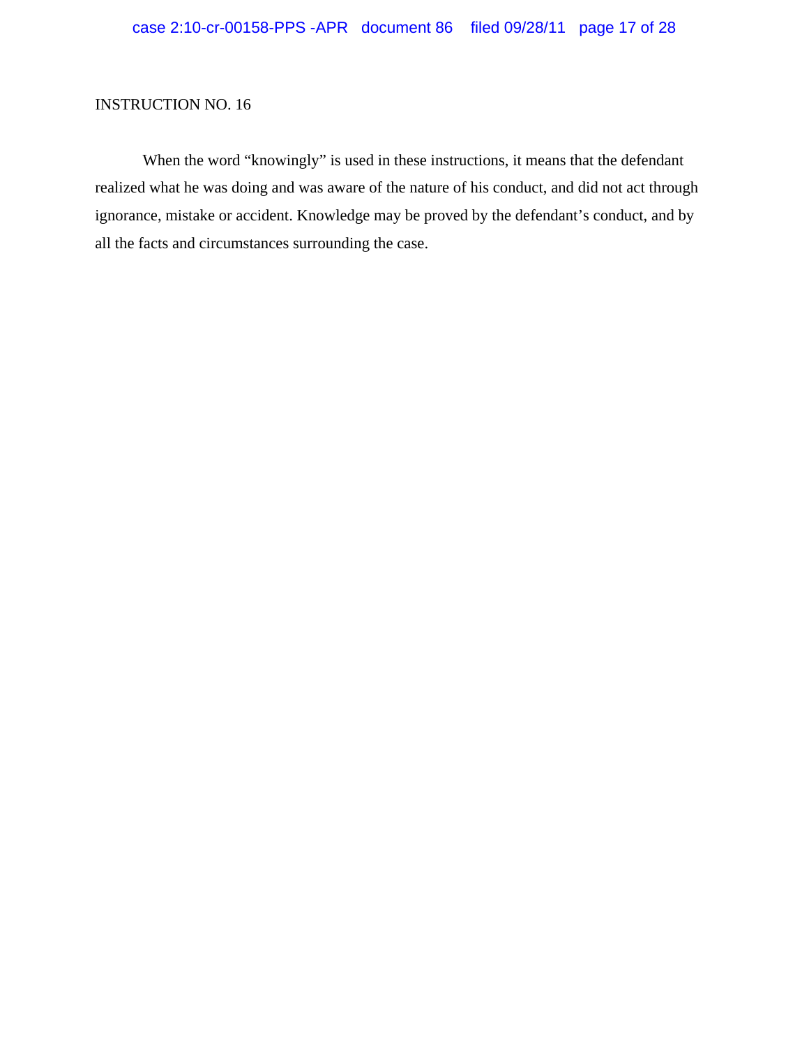When the word "knowingly" is used in these instructions, it means that the defendant realized what he was doing and was aware of the nature of his conduct, and did not act through ignorance, mistake or accident. Knowledge may be proved by the defendant's conduct, and by all the facts and circumstances surrounding the case.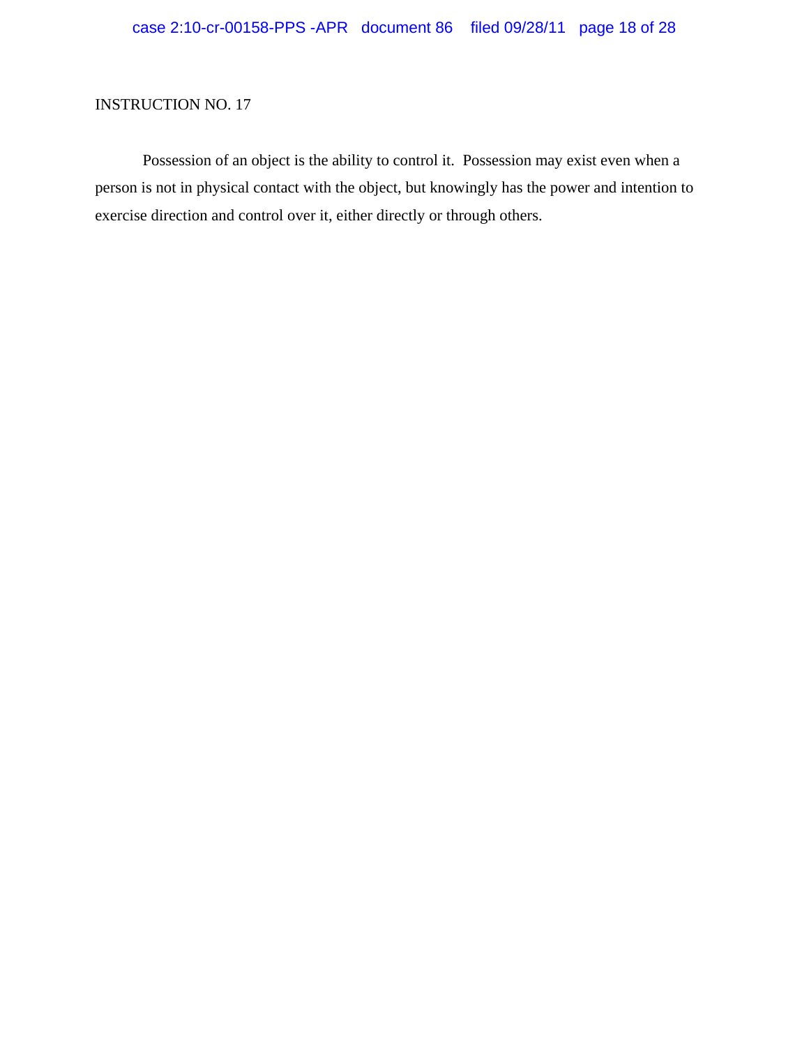Possession of an object is the ability to control it. Possession may exist even when a person is not in physical contact with the object, but knowingly has the power and intention to exercise direction and control over it, either directly or through others.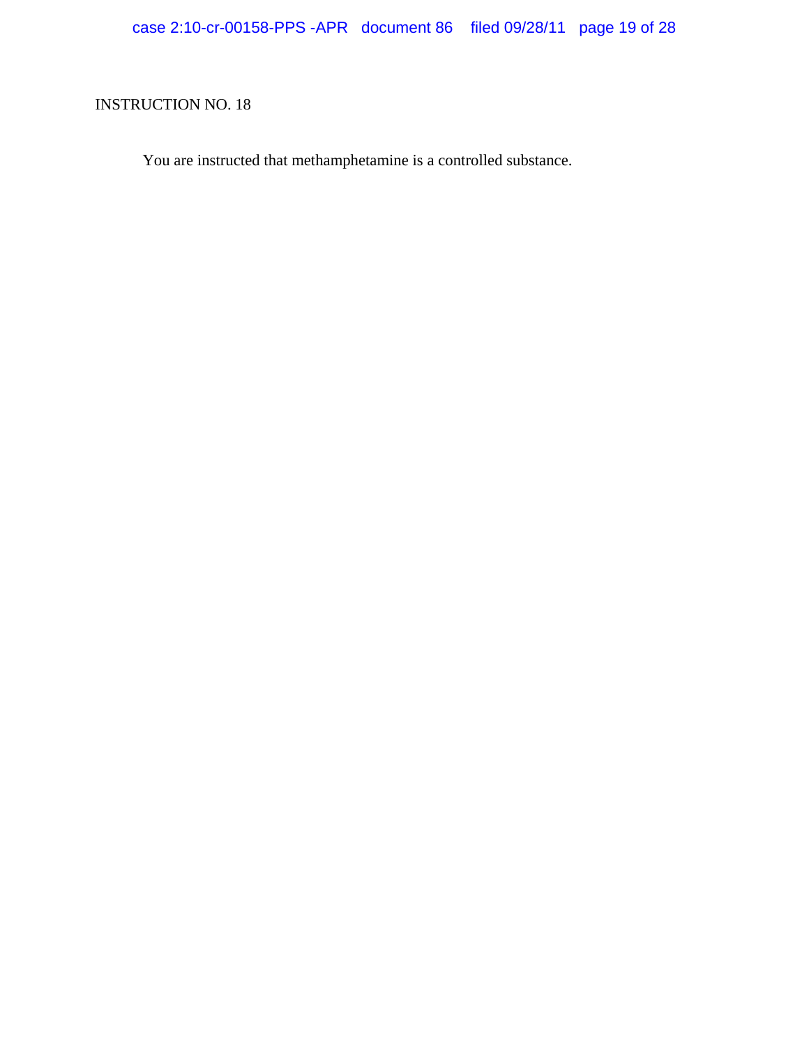You are instructed that methamphetamine is a controlled substance.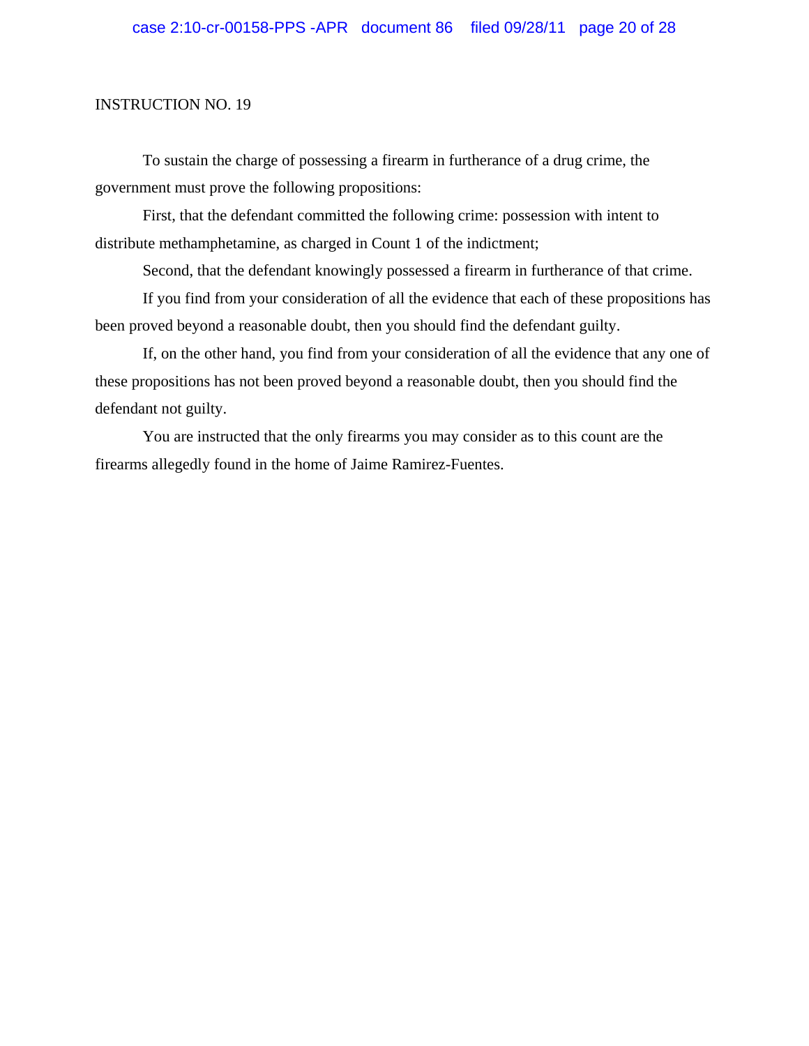To sustain the charge of possessing a firearm in furtherance of a drug crime, the government must prove the following propositions:

First, that the defendant committed the following crime: possession with intent to distribute methamphetamine, as charged in Count 1 of the indictment;

Second, that the defendant knowingly possessed a firearm in furtherance of that crime.

If you find from your consideration of all the evidence that each of these propositions has been proved beyond a reasonable doubt, then you should find the defendant guilty.

If, on the other hand, you find from your consideration of all the evidence that any one of these propositions has not been proved beyond a reasonable doubt, then you should find the defendant not guilty.

You are instructed that the only firearms you may consider as to this count are the firearms allegedly found in the home of Jaime Ramirez-Fuentes.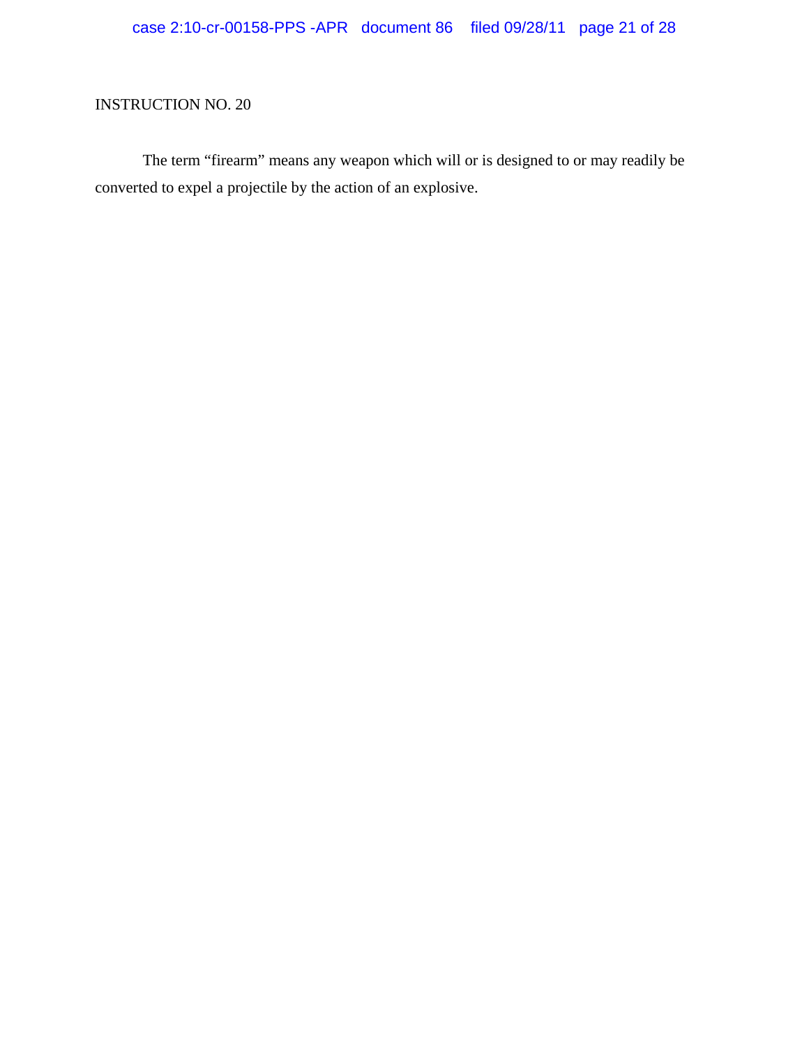The term "firearm" means any weapon which will or is designed to or may readily be converted to expel a projectile by the action of an explosive.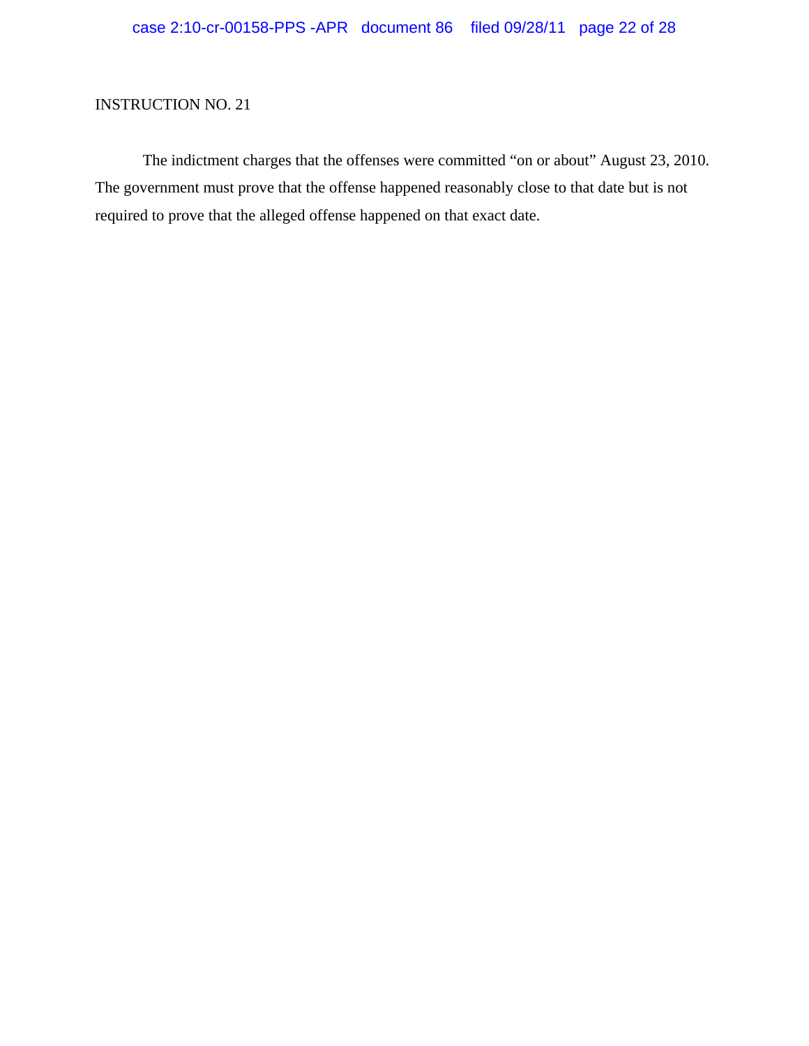The indictment charges that the offenses were committed "on or about" August 23, 2010. The government must prove that the offense happened reasonably close to that date but is not required to prove that the alleged offense happened on that exact date.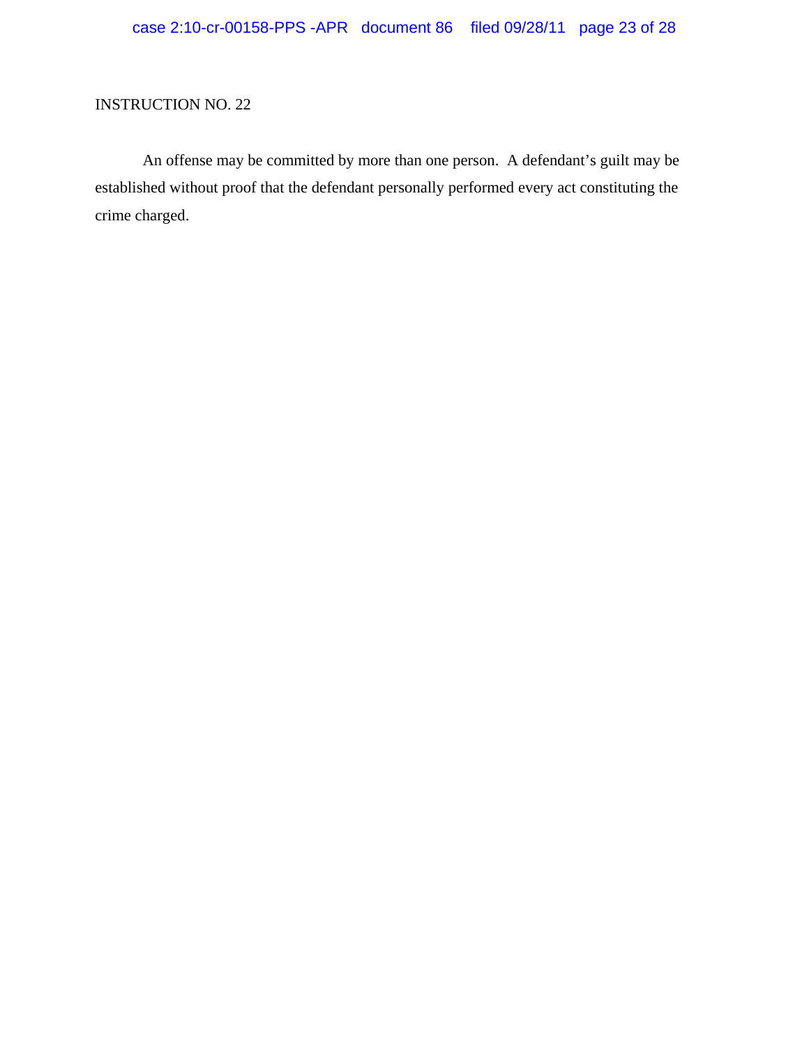An offense may be committed by more than one person. A defendant's guilt may be established without proof that the defendant personally performed every act constituting the crime charged.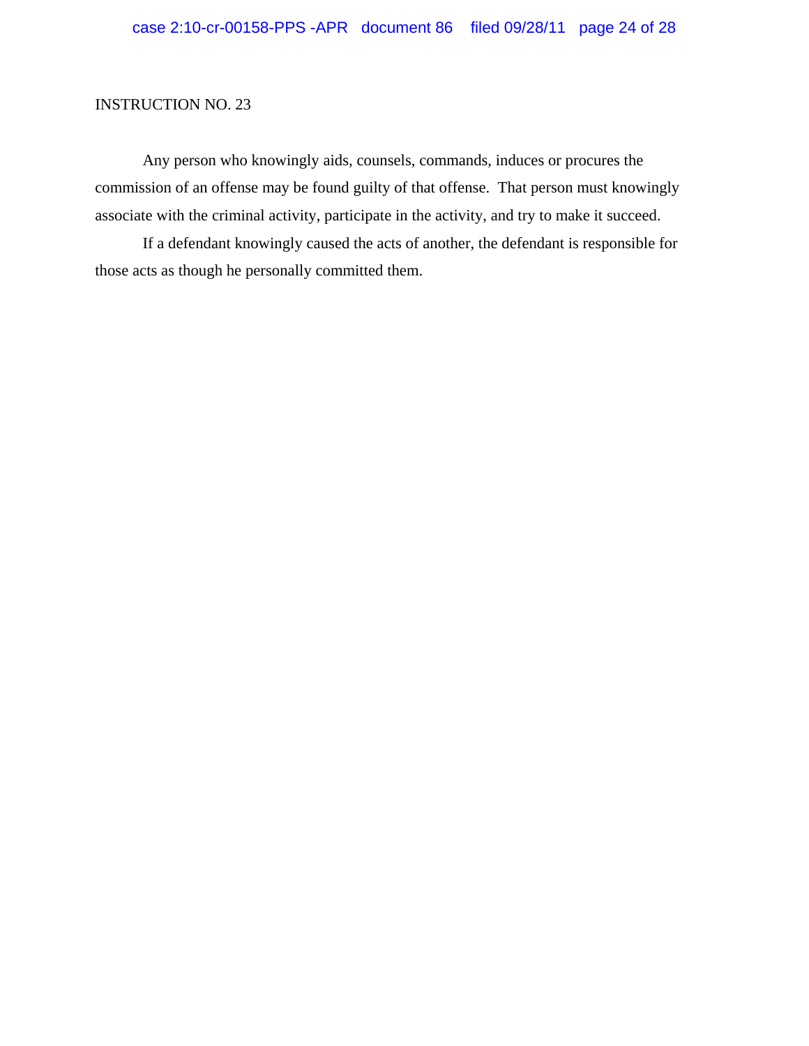Any person who knowingly aids, counsels, commands, induces or procures the commission of an offense may be found guilty of that offense. That person must knowingly associate with the criminal activity, participate in the activity, and try to make it succeed.

If a defendant knowingly caused the acts of another, the defendant is responsible for those acts as though he personally committed them.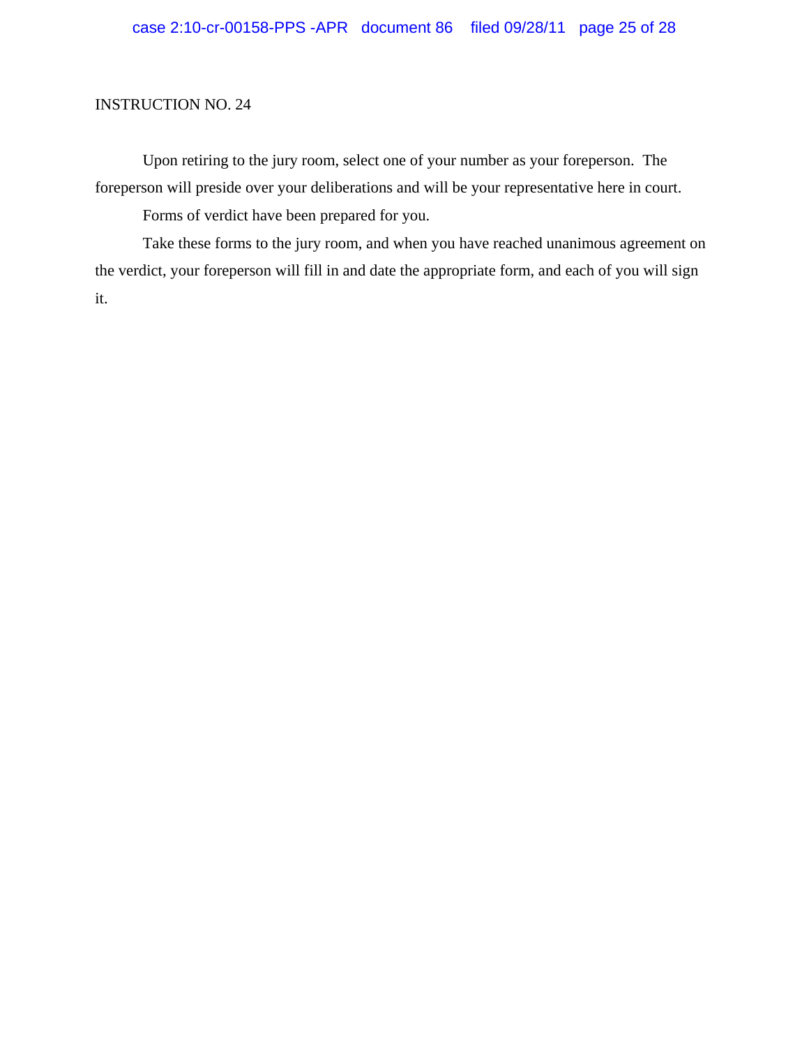Upon retiring to the jury room, select one of your number as your foreperson. The foreperson will preside over your deliberations and will be your representative here in court.

Forms of verdict have been prepared for you.

Take these forms to the jury room, and when you have reached unanimous agreement on the verdict, your foreperson will fill in and date the appropriate form, and each of you will sign it.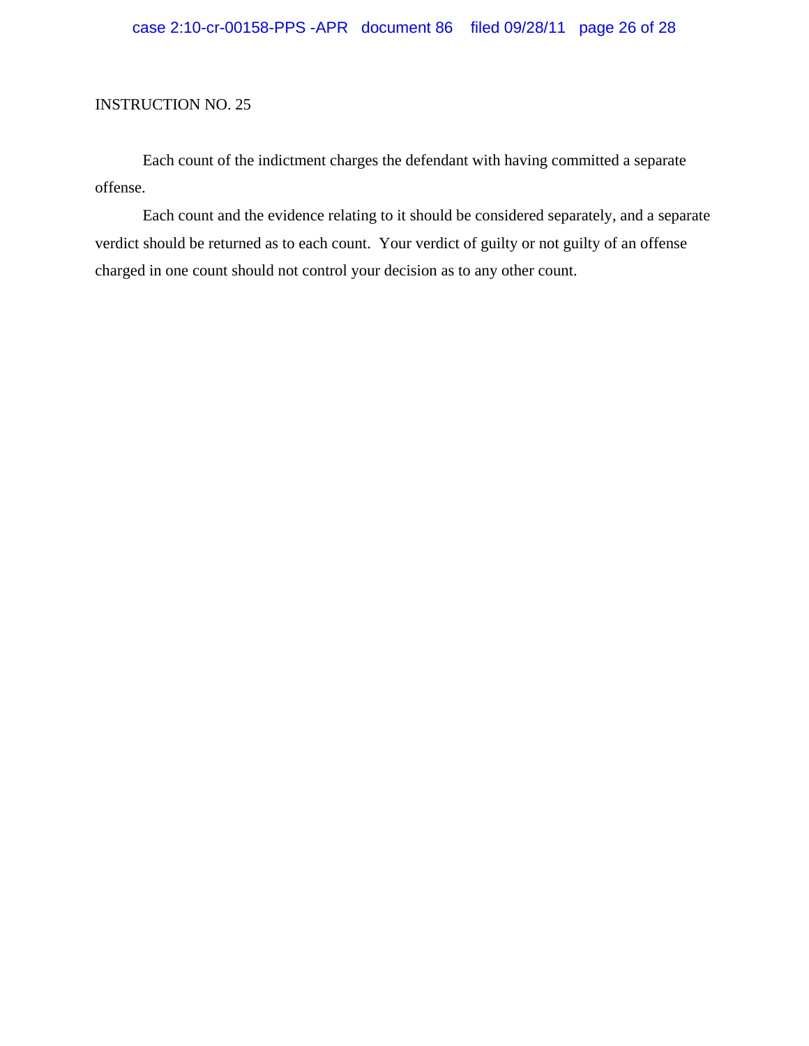Each count of the indictment charges the defendant with having committed a separate offense.

Each count and the evidence relating to it should be considered separately, and a separate verdict should be returned as to each count. Your verdict of guilty or not guilty of an offense charged in one count should not control your decision as to any other count.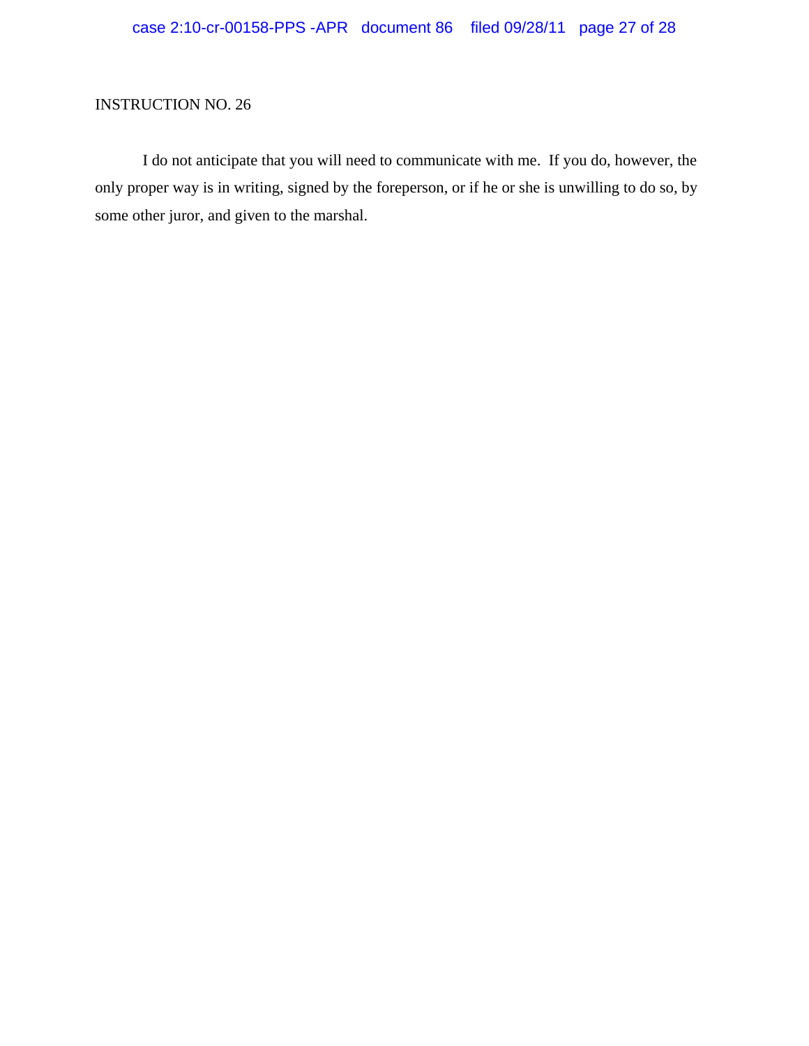I do not anticipate that you will need to communicate with me. If you do, however, the only proper way is in writing, signed by the foreperson, or if he or she is unwilling to do so, by some other juror, and given to the marshal.